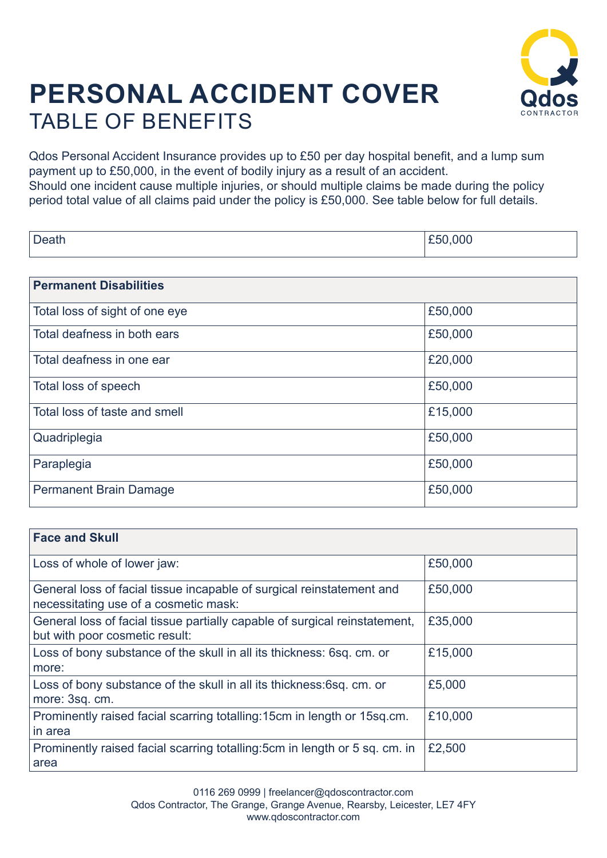

## **PERSONAL ACCIDENT COVER** TABLE OF BENEFITS

Qdos Personal Accident Insurance provides up to £50 per day hospital benefit, and a lump sum payment up to £50,000, in the event of bodily injury as a result of an accident. Should one incident cause multiple injuries, or should multiple claims be made during the policy period total value of all claims paid under the policy is £50,000. See table below for full details.

| ۱۵۵۲۲ | $- - -$ |
|-------|---------|
|-------|---------|

| <b>Permanent Disabilities</b>  |         |
|--------------------------------|---------|
| Total loss of sight of one eye | £50,000 |
| Total deafness in both ears    | £50,000 |
| Total deafness in one ear      | £20,000 |
| Total loss of speech           | £50,000 |
| Total loss of taste and smell  | £15,000 |
| Quadriplegia                   | £50,000 |
| Paraplegia                     | £50,000 |
| <b>Permanent Brain Damage</b>  | £50,000 |

| <b>Face and Skull</b>                                                                                          |         |
|----------------------------------------------------------------------------------------------------------------|---------|
| Loss of whole of lower jaw:                                                                                    | £50,000 |
| General loss of facial tissue incapable of surgical reinstatement and<br>necessitating use of a cosmetic mask: | £50,000 |
| General loss of facial tissue partially capable of surgical reinstatement,<br>but with poor cosmetic result:   | £35,000 |
| Loss of bony substance of the skull in all its thickness: 6sq. cm. or<br>more:                                 | £15,000 |
| Loss of bony substance of the skull in all its thickness:6sq. cm. or<br>more: 3sq. cm.                         | £5,000  |
| Prominently raised facial scarring totalling: 15cm in length or 15sq.cm.<br>in area                            | £10,000 |
| Prominently raised facial scarring totalling: 5cm in length or 5 sq. cm. in<br>area                            | £2,500  |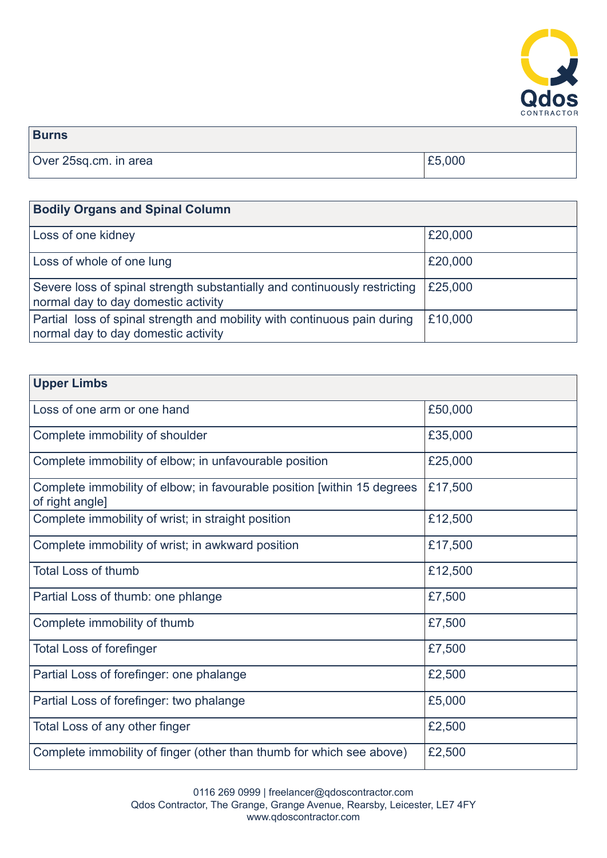

| <b>Burns</b>          |        |
|-----------------------|--------|
| Over 25sq.cm. in area | £5,000 |

| <b>Bodily Organs and Spinal Column</b>                                                                           |         |
|------------------------------------------------------------------------------------------------------------------|---------|
| Loss of one kidney                                                                                               | £20,000 |
| Loss of whole of one lung                                                                                        | £20,000 |
| Severe loss of spinal strength substantially and continuously restricting<br>normal day to day domestic activity | £25,000 |
| Partial loss of spinal strength and mobility with continuous pain during<br>normal day to day domestic activity  | £10,000 |

| <b>Upper Limbs</b>                                                                         |         |
|--------------------------------------------------------------------------------------------|---------|
| Loss of one arm or one hand                                                                | £50,000 |
| Complete immobility of shoulder                                                            | £35,000 |
| Complete immobility of elbow; in unfavourable position                                     | £25,000 |
| Complete immobility of elbow; in favourable position [within 15 degrees<br>of right angle] | £17,500 |
| Complete immobility of wrist; in straight position                                         | £12,500 |
| Complete immobility of wrist; in awkward position                                          | £17,500 |
| <b>Total Loss of thumb</b>                                                                 | £12,500 |
| Partial Loss of thumb: one phlange                                                         | £7,500  |
| Complete immobility of thumb                                                               | £7,500  |
| <b>Total Loss of forefinger</b>                                                            | £7,500  |
| Partial Loss of forefinger: one phalange                                                   | £2,500  |
| Partial Loss of forefinger: two phalange                                                   | £5,000  |
| Total Loss of any other finger                                                             | £2,500  |
| Complete immobility of finger (other than thumb for which see above)                       | £2,500  |